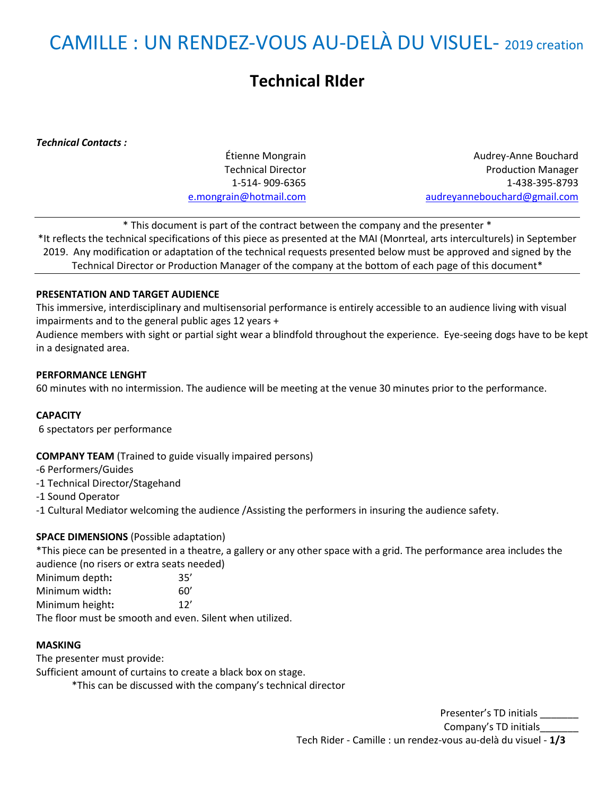# CAMILLE : UN RENDEZ-VOUS AU-DELÀ DU VISUEL- 2019 creation

# **Technical RIder**

*Technical Contacts :*

Étienne Mongrain Technical Director 1-514- 909-6365 [e.mongrain@hotmail.com](mailto:e.mongrain@hotmail.com)

Audrey-Anne Bouchard Production Manager 1-438-395-8793 [audreyannebouchard@gmail.com](mailto:audreyannebouchard@gmail.com)

\* This document is part of the contract between the company and the presenter \* \*It reflects the technical specifications of this piece as presented at the MAI (Monrteal, arts interculturels) in September 2019. Any modification or adaptation of the technical requests presented below must be approved and signed by the Technical Director or Production Manager of the company at the bottom of each page of this document\*

# **PRESENTATION AND TARGET AUDIENCE**

This immersive, interdisciplinary and multisensorial performance is entirely accessible to an audience living with visual impairments and to the general public ages 12 years +

Audience members with sight or partial sight wear a blindfold throughout the experience. Eye-seeing dogs have to be kept in a designated area.

#### **PERFORMANCE LENGHT**

60 minutes with no intermission. The audience will be meeting at the venue 30 minutes prior to the performance.

#### **CAPACITY**

6 spectators per performance

#### **COMPANY TEAM** (Trained to guide visually impaired persons)

-6 Performers/Guides

- -1 Technical Director/Stagehand
- -1 Sound Operator
- -1 Cultural Mediator welcoming the audience /Assisting the performers in insuring the audience safety.

#### **SPACE DIMENSIONS** (Possible adaptation)

\*This piece can be presented in a theatre, a gallery or any other space with a grid. The performance area includes the audience (no risers or extra seats needed)

Minimum depth**:** 35' Minimum width**:** 60'

Minimum height**:** 12'

The floor must be smooth and even. Silent when utilized.

#### **MASKING**

The presenter must provide: Sufficient amount of curtains to create a black box on stage.

\*This can be discussed with the company's technical director

Presenter's TD initials Company's TD initials\_\_\_\_\_\_\_ Tech Rider - Camille : un rendez-vous au-delà du visuel - **1/3**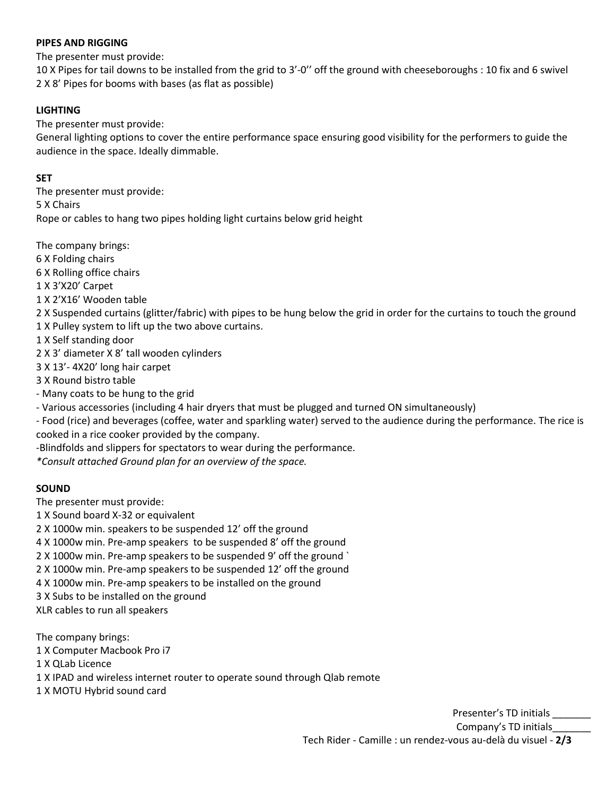# **PIPES AND RIGGING**

The presenter must provide:

10 X Pipes for tail downs to be installed from the grid to 3'-0'' off the ground with cheeseboroughs : 10 fix and 6 swivel 2 X 8' Pipes for booms with bases (as flat as possible)

# **LIGHTING**

The presenter must provide:

General lighting options to cover the entire performance space ensuring good visibility for the performers to guide the audience in the space. Ideally dimmable.

# **SET**

The presenter must provide: 5 X Chairs Rope or cables to hang two pipes holding light curtains below grid height

The company brings:

- 6 X Folding chairs
- 6 X Rolling office chairs

1 X 3'X20' Carpet

1 X 2'X16' Wooden table

2 X Suspended curtains (glitter/fabric) with pipes to be hung below the grid in order for the curtains to touch the ground

1 X Pulley system to lift up the two above curtains.

1 X Self standing door

2 X 3' diameter X 8' tall wooden cylinders

3 X 13'- 4X20' long hair carpet

3 X Round bistro table

- Many coats to be hung to the grid

- Various accessories (including 4 hair dryers that must be plugged and turned ON simultaneously)

- Food (rice) and beverages (coffee, water and sparkling water) served to the audience during the performance. The rice is cooked in a rice cooker provided by the company.

-Blindfolds and slippers for spectators to wear during the performance.

*\*Consult attached Ground plan for an overview of the space.*

# **SOUND**

The presenter must provide:

1 X Sound board X-32 or equivalent

2 X 1000w min. speakers to be suspended 12' off the ground

4 X 1000w min. Pre-amp speakers to be suspended 8' off the ground

2 X 1000w min. Pre-amp speakers to be suspended 9' off the ground `

2 X 1000w min. Pre-amp speakers to be suspended 12' off the ground

4 X 1000w min. Pre-amp speakers to be installed on the ground

3 X Subs to be installed on the ground

XLR cables to run all speakers

The company brings:

1 X Computer Macbook Pro i7

1 X QLab Licence

1 X IPAD and wireless internet router to operate sound through Qlab remote

1 X MOTU Hybrid sound card

Presenter's TD initials Company's TD initials\_\_\_\_\_\_\_ Tech Rider - Camille : un rendez-vous au-delà du visuel - **2/3**